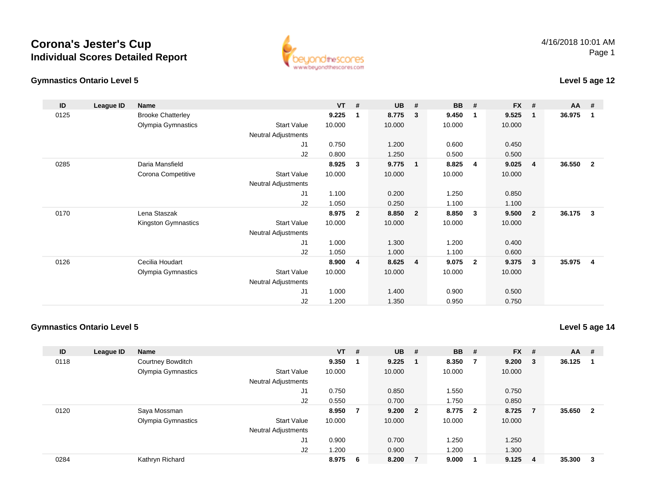



### **Level 5 age 12**

| ID   | League ID | Name                     |                            | $VT$ # |              | <b>UB</b> | #              | <b>BB</b> | #                       | <b>FX</b> | #                       | <b>AA</b> | #                       |
|------|-----------|--------------------------|----------------------------|--------|--------------|-----------|----------------|-----------|-------------------------|-----------|-------------------------|-----------|-------------------------|
| 0125 |           | <b>Brooke Chatterley</b> |                            | 9.225  | 1            | 8.775     | 3              | 9.450     | $\overline{\mathbf{1}}$ | 9.525     | $\mathbf 1$             | 36.975    | -1                      |
|      |           | Olympia Gymnastics       | <b>Start Value</b>         | 10.000 |              | 10.000    |                | 10.000    |                         | 10.000    |                         |           |                         |
|      |           |                          | <b>Neutral Adjustments</b> |        |              |           |                |           |                         |           |                         |           |                         |
|      |           |                          | J1                         | 0.750  |              | 1.200     |                | 0.600     |                         | 0.450     |                         |           |                         |
|      |           |                          | J2                         | 0.800  |              | 1.250     |                | 0.500     |                         | 0.500     |                         |           |                         |
| 0285 |           | Daria Mansfield          |                            | 8.925  | 3            | 9.775     | $\blacksquare$ | 8.825     | $\overline{4}$          | 9.025     | $\overline{4}$          | 36.550    | $\overline{2}$          |
|      |           | Corona Competitive       | <b>Start Value</b>         | 10.000 |              | 10.000    |                | 10.000    |                         | 10.000    |                         |           |                         |
|      |           |                          | Neutral Adjustments        |        |              |           |                |           |                         |           |                         |           |                         |
|      |           |                          | J1                         | 1.100  |              | 0.200     |                | 1.250     |                         | 0.850     |                         |           |                         |
|      |           |                          | J2                         | 1.050  |              | 0.250     |                | 1.100     |                         | 1.100     |                         |           |                         |
| 0170 |           | Lena Staszak             |                            | 8.975  | $\mathbf{2}$ | 8.850     | $\overline{2}$ | 8.850     | $\overline{\mathbf{3}}$ | 9.500     | $\overline{\mathbf{2}}$ | 36.175    | $\mathbf{3}$            |
|      |           | Kingston Gymnastics      | <b>Start Value</b>         | 10.000 |              | 10.000    |                | 10.000    |                         | 10.000    |                         |           |                         |
|      |           |                          | <b>Neutral Adjustments</b> |        |              |           |                |           |                         |           |                         |           |                         |
|      |           |                          | J1                         | 1.000  |              | 1.300     |                | 1.200     |                         | 0.400     |                         |           |                         |
|      |           |                          | J2                         | 1.050  |              | 1.000     |                | 1.100     |                         | 0.600     |                         |           |                         |
| 0126 |           | Cecilia Houdart          |                            | 8.900  | 4            | 8.625     | $\overline{4}$ | 9.075     | $\overline{2}$          | 9.375     | 3                       | 35.975    | $\overline{\mathbf{4}}$ |
|      |           | Olympia Gymnastics       | <b>Start Value</b>         | 10.000 |              | 10.000    |                | 10.000    |                         | 10.000    |                         |           |                         |
|      |           |                          | <b>Neutral Adjustments</b> |        |              |           |                |           |                         |           |                         |           |                         |
|      |           |                          | J1                         | 1.000  |              | 1.400     |                | 0.900     |                         | 0.500     |                         |           |                         |
|      |           |                          | J2                         | 1.200  |              | 1.350     |                | 0.950     |                         | 0.750     |                         |           |                         |

#### **Gymnastics Ontario Level 5**

**Level 5 age 14**

| ID   | League ID | <b>Name</b>                |                    | $VT$ # |     | <b>UB</b> | # | <b>BB</b> | #   | <b>FX</b> | #      | <b>AA</b> | #                       |
|------|-----------|----------------------------|--------------------|--------|-----|-----------|---|-----------|-----|-----------|--------|-----------|-------------------------|
| 0118 |           | Courtney Bowditch          |                    | 9.350  |     | 9.225     |   | 8.350     | - 7 | 9.200     | $_{3}$ | 36.125    |                         |
|      |           | Olympia Gymnastics         | <b>Start Value</b> | 10.000 |     | 10.000    |   | 10.000    |     | 10.000    |        |           |                         |
|      |           | <b>Neutral Adjustments</b> |                    |        |     |           |   |           |     |           |        |           |                         |
|      |           |                            | J1                 | 0.750  |     | 0.850     |   | 1.550     |     | 0.750     |        |           |                         |
|      |           |                            | J2                 | 0.550  |     | 0.700     |   | 1.750     |     | 0.850     |        |           |                         |
| 0120 |           | Saya Mossman               |                    | 8.950  | 7   | 9.200 2   |   | 8.775 2   |     | 8.725     |        | 35.650    | $\overline{\mathbf{2}}$ |
|      |           | Olympia Gymnastics         | <b>Start Value</b> | 10.000 |     | 10.000    |   | 10.000    |     | 10.000    |        |           |                         |
|      |           | <b>Neutral Adjustments</b> |                    |        |     |           |   |           |     |           |        |           |                         |
|      |           |                            | J <sub>1</sub>     | 0.900  |     | 0.700     |   | 1.250     |     | 1.250     |        |           |                         |
|      |           |                            | J2                 | 200. ا |     | 0.900     |   | 1.200     |     | 1.300     |        |           |                         |
| 0284 |           | Kathryn Richard            |                    | 8.975  | - 6 | 8.200     | 7 | 9.000     |     | 9.125     | -4     | 35.300    | -3                      |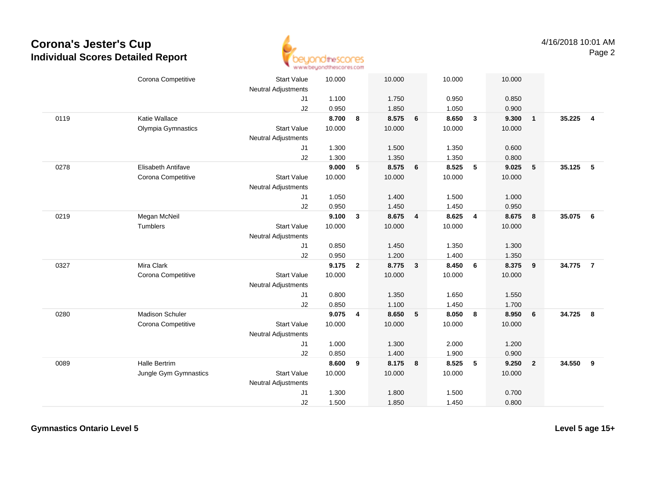

|      | Corona Competitive        | <b>Start Value</b><br><b>Neutral Adjustments</b> | 10.000 |                | 10.000 |                         | 10.000 |                | 10.000 |                         |        |                |
|------|---------------------------|--------------------------------------------------|--------|----------------|--------|-------------------------|--------|----------------|--------|-------------------------|--------|----------------|
|      |                           | J1                                               | 1.100  |                | 1.750  |                         | 0.950  |                | 0.850  |                         |        |                |
|      |                           | J2                                               | 0.950  |                | 1.850  |                         | 1.050  |                | 0.900  |                         |        |                |
| 0119 | Katie Wallace             |                                                  | 8.700  | 8              | 8.575  | 6                       | 8.650  | $\mathbf{3}$   | 9.300  | $\overline{1}$          | 35.225 | $\overline{4}$ |
|      | Olympia Gymnastics        | <b>Start Value</b>                               | 10.000 |                | 10.000 |                         | 10.000 |                | 10.000 |                         |        |                |
|      |                           | <b>Neutral Adjustments</b>                       |        |                |        |                         |        |                |        |                         |        |                |
|      |                           | J1                                               | 1.300  |                | 1.500  |                         | 1.350  |                | 0.600  |                         |        |                |
|      |                           | J2                                               | 1.300  |                | 1.350  |                         | 1.350  |                | 0.800  |                         |        |                |
| 0278 | <b>Elisabeth Antifave</b> |                                                  | 9.000  | 5              | 8.575  | 6                       | 8.525  | 5              | 9.025  | 5                       | 35.125 | $-5$           |
|      | Corona Competitive        | <b>Start Value</b>                               | 10.000 |                | 10.000 |                         | 10.000 |                | 10.000 |                         |        |                |
|      |                           | <b>Neutral Adjustments</b>                       |        |                |        |                         |        |                |        |                         |        |                |
|      |                           | J1                                               | 1.050  |                | 1.400  |                         | 1.500  |                | 1.000  |                         |        |                |
|      |                           | J2                                               | 0.950  |                | 1.450  |                         | 1.450  |                | 0.950  |                         |        |                |
| 0219 | Megan McNeil              |                                                  | 9.100  | $\mathbf{3}$   | 8.675  | $\overline{4}$          | 8.625  | $\overline{4}$ | 8.675  | 8                       | 35.075 | 6              |
|      | Tumblers                  | <b>Start Value</b>                               | 10.000 |                | 10.000 |                         | 10.000 |                | 10.000 |                         |        |                |
|      |                           | <b>Neutral Adjustments</b>                       |        |                |        |                         |        |                |        |                         |        |                |
|      |                           | J1                                               | 0.850  |                | 1.450  |                         | 1.350  |                | 1.300  |                         |        |                |
|      |                           | J2                                               | 0.950  |                | 1.200  |                         | 1.400  |                | 1.350  |                         |        |                |
| 0327 | Mira Clark                |                                                  | 9.175  | $\overline{2}$ | 8.775  | $\overline{\mathbf{3}}$ | 8.450  | 6              | 8.375  | $\overline{\mathbf{9}}$ | 34.775 | $\overline{7}$ |
|      | Corona Competitive        | <b>Start Value</b>                               | 10.000 |                | 10.000 |                         | 10.000 |                | 10.000 |                         |        |                |
|      |                           | <b>Neutral Adjustments</b>                       |        |                |        |                         |        |                |        |                         |        |                |
|      |                           | J1                                               | 0.800  |                | 1.350  |                         | 1.650  |                | 1.550  |                         |        |                |
|      |                           | J2                                               | 0.850  |                | 1.100  |                         | 1.450  |                | 1.700  |                         |        |                |
| 0280 | <b>Madison Schuler</b>    |                                                  | 9.075  | 4              | 8.650  | 5                       | 8.050  | 8              | 8.950  | $6\phantom{1}6$         | 34.725 | 8              |
|      | Corona Competitive        | <b>Start Value</b>                               | 10.000 |                | 10.000 |                         | 10.000 |                | 10.000 |                         |        |                |
|      |                           | <b>Neutral Adjustments</b>                       |        |                |        |                         |        |                |        |                         |        |                |
|      |                           | J1                                               | 1.000  |                | 1.300  |                         | 2.000  |                | 1.200  |                         |        |                |
|      |                           | J2                                               | 0.850  |                | 1.400  |                         | 1.900  |                | 0.900  |                         |        |                |
| 0089 | <b>Halle Bertrim</b>      |                                                  | 8.600  | 9              | 8.175  | 8                       | 8.525  | 5              | 9.250  | $\overline{\mathbf{2}}$ | 34.550 | 9              |
|      | Jungle Gym Gymnastics     | <b>Start Value</b>                               | 10.000 |                | 10.000 |                         | 10.000 |                | 10.000 |                         |        |                |
|      |                           | <b>Neutral Adjustments</b>                       |        |                |        |                         |        |                |        |                         |        |                |
|      |                           | J1                                               | 1.300  |                | 1.800  |                         | 1.500  |                | 0.700  |                         |        |                |
|      |                           | J2                                               | 1.500  |                | 1.850  |                         | 1.450  |                | 0.800  |                         |        |                |

**Gymnastics Ontario Level 5**

**Level 5 age 15+**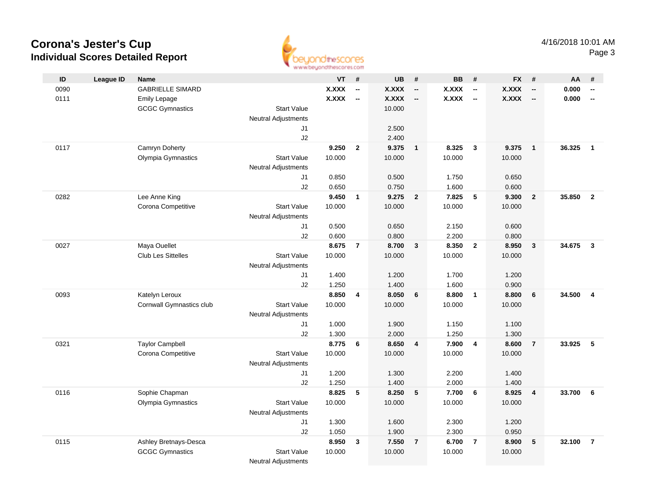

| ID<br><b>League ID</b><br>VT<br><b>UB</b><br>#<br><b>BB</b><br>FX #<br>#<br>#<br>AA<br>#<br><b>Name</b><br><b>X.XXX</b><br><b>X.XXX</b><br><b>GABRIELLE SIMARD</b><br><b>X.XXX</b><br><b>X.XXX</b><br>0.000<br>0090<br>$\overline{\phantom{a}}$<br>$\overline{\phantom{a}}$<br>$\overline{\phantom{a}}$<br>$\overline{\phantom{a}}$<br>$\overline{\phantom{a}}$<br><b>X.XXX</b><br><b>X.XXX</b><br><b>X.XXX</b><br><b>X.XXX</b><br>0111<br>0.000<br><b>Emily Lepage</b><br>$\overline{\phantom{a}}$<br>$\overline{\phantom{a}}$<br>$\overline{\phantom{a}}$<br>$\overline{\phantom{a}}$<br>$\overline{\phantom{a}}$<br>10.000<br><b>GCGC Gymnastics</b><br><b>Start Value</b><br><b>Neutral Adjustments</b><br>2.500<br>J1<br>J2<br>2.400<br>$\overline{2}$<br>0117<br>Camryn Doherty<br>9.250<br>9.375<br>$\overline{1}$<br>8.325<br>$\mathbf{3}$<br>9.375<br>$\overline{1}$<br>36.325<br>$\overline{1}$<br>Olympia Gymnastics<br><b>Start Value</b><br>10.000<br>10.000<br>10.000<br>10.000<br>Neutral Adjustments<br>0.850<br>0.500<br>J1<br>1.750<br>0.650<br>0.650<br>0.750<br>1.600<br>J2<br>0.600<br>9.450<br>9.275<br>7.825<br>9.300<br>35.850<br>0282<br>Lee Anne King<br>$\overline{2}$<br>$5\phantom{.0}$<br>$\overline{2}$<br>$\overline{2}$<br>$\mathbf{1}$<br>Corona Competitive<br><b>Start Value</b><br>10.000<br>10.000<br>10.000<br>10.000<br><b>Neutral Adjustments</b><br>0.500<br>0.600<br>J1<br>0.650<br>2.150<br>0.600<br>0.800<br>J2<br>2.200<br>0.800<br>34.675<br>0027<br>Maya Ouellet<br>8.675<br>$\overline{7}$<br>8.700<br>$\mathbf{3}$<br>8.350<br>$\overline{2}$<br>8.950<br>$\overline{\mathbf{3}}$<br>$\mathbf{3}$<br><b>Club Les Sittelles</b><br><b>Start Value</b><br>10.000<br>10.000<br>10.000<br>10.000<br><b>Neutral Adjustments</b><br>1.400<br>1.200<br>1.700<br>1.200<br>J1<br>1.250<br>1.400<br>1.600<br>J2<br>0.900<br>0093<br>8.850<br>$\overline{\mathbf{4}}$<br>8.050<br>8.800<br>$\overline{\mathbf{1}}$<br>8.800<br>6<br>34.500<br>Katelyn Leroux<br>$6\phantom{1}$<br>$\overline{4}$<br>10.000<br>10.000<br>Cornwall Gymnastics club<br><b>Start Value</b><br>10.000<br>10.000<br><b>Neutral Adjustments</b><br>1.000<br>1.900<br>1.150<br>1.100<br>J1<br>J2<br>1.300<br>2.000<br>1.250<br>1.300<br><b>Taylor Campbell</b><br>8.775<br>8.650<br>7.900<br>0321<br>$\overline{4}$<br>$\overline{4}$<br>8.600<br>$\overline{7}$<br>33.925<br>5<br>6<br>Corona Competitive<br><b>Start Value</b><br>10.000<br>10.000<br>10.000<br>10.000<br><b>Neutral Adjustments</b><br>1.300<br>1.400<br>J1<br>1.200<br>2.200<br>1.250<br>1.400<br>2.000<br>1.400<br>J2<br>Sophie Chapman<br>8.825<br>5<br>8.250<br>5<br>7.700<br>6<br>8.925<br>33.700<br>0116<br>$\overline{\mathbf{4}}$<br>6<br>Olympia Gymnastics<br><b>Start Value</b><br>10.000<br>10.000<br>10.000<br>10.000<br><b>Neutral Adjustments</b> |  |    |       |       |       |       |  |  |
|----------------------------------------------------------------------------------------------------------------------------------------------------------------------------------------------------------------------------------------------------------------------------------------------------------------------------------------------------------------------------------------------------------------------------------------------------------------------------------------------------------------------------------------------------------------------------------------------------------------------------------------------------------------------------------------------------------------------------------------------------------------------------------------------------------------------------------------------------------------------------------------------------------------------------------------------------------------------------------------------------------------------------------------------------------------------------------------------------------------------------------------------------------------------------------------------------------------------------------------------------------------------------------------------------------------------------------------------------------------------------------------------------------------------------------------------------------------------------------------------------------------------------------------------------------------------------------------------------------------------------------------------------------------------------------------------------------------------------------------------------------------------------------------------------------------------------------------------------------------------------------------------------------------------------------------------------------------------------------------------------------------------------------------------------------------------------------------------------------------------------------------------------------------------------------------------------------------------------------------------------------------------------------------------------------------------------------------------------------------------------------------------------------------------------------------------------------------------------------------------------------------------------------------------------------------------------------------------------------------------------------------------------------------------------------------------------------------------------------------------------------------------------------------------------------------------------------------------------|--|----|-------|-------|-------|-------|--|--|
|                                                                                                                                                                                                                                                                                                                                                                                                                                                                                                                                                                                                                                                                                                                                                                                                                                                                                                                                                                                                                                                                                                                                                                                                                                                                                                                                                                                                                                                                                                                                                                                                                                                                                                                                                                                                                                                                                                                                                                                                                                                                                                                                                                                                                                                                                                                                                                                                                                                                                                                                                                                                                                                                                                                                                                                                                                                    |  |    |       |       |       |       |  |  |
|                                                                                                                                                                                                                                                                                                                                                                                                                                                                                                                                                                                                                                                                                                                                                                                                                                                                                                                                                                                                                                                                                                                                                                                                                                                                                                                                                                                                                                                                                                                                                                                                                                                                                                                                                                                                                                                                                                                                                                                                                                                                                                                                                                                                                                                                                                                                                                                                                                                                                                                                                                                                                                                                                                                                                                                                                                                    |  |    |       |       |       |       |  |  |
|                                                                                                                                                                                                                                                                                                                                                                                                                                                                                                                                                                                                                                                                                                                                                                                                                                                                                                                                                                                                                                                                                                                                                                                                                                                                                                                                                                                                                                                                                                                                                                                                                                                                                                                                                                                                                                                                                                                                                                                                                                                                                                                                                                                                                                                                                                                                                                                                                                                                                                                                                                                                                                                                                                                                                                                                                                                    |  |    |       |       |       |       |  |  |
|                                                                                                                                                                                                                                                                                                                                                                                                                                                                                                                                                                                                                                                                                                                                                                                                                                                                                                                                                                                                                                                                                                                                                                                                                                                                                                                                                                                                                                                                                                                                                                                                                                                                                                                                                                                                                                                                                                                                                                                                                                                                                                                                                                                                                                                                                                                                                                                                                                                                                                                                                                                                                                                                                                                                                                                                                                                    |  |    |       |       |       |       |  |  |
|                                                                                                                                                                                                                                                                                                                                                                                                                                                                                                                                                                                                                                                                                                                                                                                                                                                                                                                                                                                                                                                                                                                                                                                                                                                                                                                                                                                                                                                                                                                                                                                                                                                                                                                                                                                                                                                                                                                                                                                                                                                                                                                                                                                                                                                                                                                                                                                                                                                                                                                                                                                                                                                                                                                                                                                                                                                    |  |    |       |       |       |       |  |  |
|                                                                                                                                                                                                                                                                                                                                                                                                                                                                                                                                                                                                                                                                                                                                                                                                                                                                                                                                                                                                                                                                                                                                                                                                                                                                                                                                                                                                                                                                                                                                                                                                                                                                                                                                                                                                                                                                                                                                                                                                                                                                                                                                                                                                                                                                                                                                                                                                                                                                                                                                                                                                                                                                                                                                                                                                                                                    |  |    |       |       |       |       |  |  |
|                                                                                                                                                                                                                                                                                                                                                                                                                                                                                                                                                                                                                                                                                                                                                                                                                                                                                                                                                                                                                                                                                                                                                                                                                                                                                                                                                                                                                                                                                                                                                                                                                                                                                                                                                                                                                                                                                                                                                                                                                                                                                                                                                                                                                                                                                                                                                                                                                                                                                                                                                                                                                                                                                                                                                                                                                                                    |  |    |       |       |       |       |  |  |
|                                                                                                                                                                                                                                                                                                                                                                                                                                                                                                                                                                                                                                                                                                                                                                                                                                                                                                                                                                                                                                                                                                                                                                                                                                                                                                                                                                                                                                                                                                                                                                                                                                                                                                                                                                                                                                                                                                                                                                                                                                                                                                                                                                                                                                                                                                                                                                                                                                                                                                                                                                                                                                                                                                                                                                                                                                                    |  |    |       |       |       |       |  |  |
|                                                                                                                                                                                                                                                                                                                                                                                                                                                                                                                                                                                                                                                                                                                                                                                                                                                                                                                                                                                                                                                                                                                                                                                                                                                                                                                                                                                                                                                                                                                                                                                                                                                                                                                                                                                                                                                                                                                                                                                                                                                                                                                                                                                                                                                                                                                                                                                                                                                                                                                                                                                                                                                                                                                                                                                                                                                    |  |    |       |       |       |       |  |  |
|                                                                                                                                                                                                                                                                                                                                                                                                                                                                                                                                                                                                                                                                                                                                                                                                                                                                                                                                                                                                                                                                                                                                                                                                                                                                                                                                                                                                                                                                                                                                                                                                                                                                                                                                                                                                                                                                                                                                                                                                                                                                                                                                                                                                                                                                                                                                                                                                                                                                                                                                                                                                                                                                                                                                                                                                                                                    |  |    |       |       |       |       |  |  |
|                                                                                                                                                                                                                                                                                                                                                                                                                                                                                                                                                                                                                                                                                                                                                                                                                                                                                                                                                                                                                                                                                                                                                                                                                                                                                                                                                                                                                                                                                                                                                                                                                                                                                                                                                                                                                                                                                                                                                                                                                                                                                                                                                                                                                                                                                                                                                                                                                                                                                                                                                                                                                                                                                                                                                                                                                                                    |  |    |       |       |       |       |  |  |
|                                                                                                                                                                                                                                                                                                                                                                                                                                                                                                                                                                                                                                                                                                                                                                                                                                                                                                                                                                                                                                                                                                                                                                                                                                                                                                                                                                                                                                                                                                                                                                                                                                                                                                                                                                                                                                                                                                                                                                                                                                                                                                                                                                                                                                                                                                                                                                                                                                                                                                                                                                                                                                                                                                                                                                                                                                                    |  |    |       |       |       |       |  |  |
|                                                                                                                                                                                                                                                                                                                                                                                                                                                                                                                                                                                                                                                                                                                                                                                                                                                                                                                                                                                                                                                                                                                                                                                                                                                                                                                                                                                                                                                                                                                                                                                                                                                                                                                                                                                                                                                                                                                                                                                                                                                                                                                                                                                                                                                                                                                                                                                                                                                                                                                                                                                                                                                                                                                                                                                                                                                    |  |    |       |       |       |       |  |  |
|                                                                                                                                                                                                                                                                                                                                                                                                                                                                                                                                                                                                                                                                                                                                                                                                                                                                                                                                                                                                                                                                                                                                                                                                                                                                                                                                                                                                                                                                                                                                                                                                                                                                                                                                                                                                                                                                                                                                                                                                                                                                                                                                                                                                                                                                                                                                                                                                                                                                                                                                                                                                                                                                                                                                                                                                                                                    |  |    |       |       |       |       |  |  |
|                                                                                                                                                                                                                                                                                                                                                                                                                                                                                                                                                                                                                                                                                                                                                                                                                                                                                                                                                                                                                                                                                                                                                                                                                                                                                                                                                                                                                                                                                                                                                                                                                                                                                                                                                                                                                                                                                                                                                                                                                                                                                                                                                                                                                                                                                                                                                                                                                                                                                                                                                                                                                                                                                                                                                                                                                                                    |  |    |       |       |       |       |  |  |
|                                                                                                                                                                                                                                                                                                                                                                                                                                                                                                                                                                                                                                                                                                                                                                                                                                                                                                                                                                                                                                                                                                                                                                                                                                                                                                                                                                                                                                                                                                                                                                                                                                                                                                                                                                                                                                                                                                                                                                                                                                                                                                                                                                                                                                                                                                                                                                                                                                                                                                                                                                                                                                                                                                                                                                                                                                                    |  |    |       |       |       |       |  |  |
|                                                                                                                                                                                                                                                                                                                                                                                                                                                                                                                                                                                                                                                                                                                                                                                                                                                                                                                                                                                                                                                                                                                                                                                                                                                                                                                                                                                                                                                                                                                                                                                                                                                                                                                                                                                                                                                                                                                                                                                                                                                                                                                                                                                                                                                                                                                                                                                                                                                                                                                                                                                                                                                                                                                                                                                                                                                    |  |    |       |       |       |       |  |  |
|                                                                                                                                                                                                                                                                                                                                                                                                                                                                                                                                                                                                                                                                                                                                                                                                                                                                                                                                                                                                                                                                                                                                                                                                                                                                                                                                                                                                                                                                                                                                                                                                                                                                                                                                                                                                                                                                                                                                                                                                                                                                                                                                                                                                                                                                                                                                                                                                                                                                                                                                                                                                                                                                                                                                                                                                                                                    |  |    |       |       |       |       |  |  |
|                                                                                                                                                                                                                                                                                                                                                                                                                                                                                                                                                                                                                                                                                                                                                                                                                                                                                                                                                                                                                                                                                                                                                                                                                                                                                                                                                                                                                                                                                                                                                                                                                                                                                                                                                                                                                                                                                                                                                                                                                                                                                                                                                                                                                                                                                                                                                                                                                                                                                                                                                                                                                                                                                                                                                                                                                                                    |  |    |       |       |       |       |  |  |
|                                                                                                                                                                                                                                                                                                                                                                                                                                                                                                                                                                                                                                                                                                                                                                                                                                                                                                                                                                                                                                                                                                                                                                                                                                                                                                                                                                                                                                                                                                                                                                                                                                                                                                                                                                                                                                                                                                                                                                                                                                                                                                                                                                                                                                                                                                                                                                                                                                                                                                                                                                                                                                                                                                                                                                                                                                                    |  |    |       |       |       |       |  |  |
|                                                                                                                                                                                                                                                                                                                                                                                                                                                                                                                                                                                                                                                                                                                                                                                                                                                                                                                                                                                                                                                                                                                                                                                                                                                                                                                                                                                                                                                                                                                                                                                                                                                                                                                                                                                                                                                                                                                                                                                                                                                                                                                                                                                                                                                                                                                                                                                                                                                                                                                                                                                                                                                                                                                                                                                                                                                    |  |    |       |       |       |       |  |  |
|                                                                                                                                                                                                                                                                                                                                                                                                                                                                                                                                                                                                                                                                                                                                                                                                                                                                                                                                                                                                                                                                                                                                                                                                                                                                                                                                                                                                                                                                                                                                                                                                                                                                                                                                                                                                                                                                                                                                                                                                                                                                                                                                                                                                                                                                                                                                                                                                                                                                                                                                                                                                                                                                                                                                                                                                                                                    |  |    |       |       |       |       |  |  |
|                                                                                                                                                                                                                                                                                                                                                                                                                                                                                                                                                                                                                                                                                                                                                                                                                                                                                                                                                                                                                                                                                                                                                                                                                                                                                                                                                                                                                                                                                                                                                                                                                                                                                                                                                                                                                                                                                                                                                                                                                                                                                                                                                                                                                                                                                                                                                                                                                                                                                                                                                                                                                                                                                                                                                                                                                                                    |  |    |       |       |       |       |  |  |
|                                                                                                                                                                                                                                                                                                                                                                                                                                                                                                                                                                                                                                                                                                                                                                                                                                                                                                                                                                                                                                                                                                                                                                                                                                                                                                                                                                                                                                                                                                                                                                                                                                                                                                                                                                                                                                                                                                                                                                                                                                                                                                                                                                                                                                                                                                                                                                                                                                                                                                                                                                                                                                                                                                                                                                                                                                                    |  |    |       |       |       |       |  |  |
|                                                                                                                                                                                                                                                                                                                                                                                                                                                                                                                                                                                                                                                                                                                                                                                                                                                                                                                                                                                                                                                                                                                                                                                                                                                                                                                                                                                                                                                                                                                                                                                                                                                                                                                                                                                                                                                                                                                                                                                                                                                                                                                                                                                                                                                                                                                                                                                                                                                                                                                                                                                                                                                                                                                                                                                                                                                    |  |    |       |       |       |       |  |  |
|                                                                                                                                                                                                                                                                                                                                                                                                                                                                                                                                                                                                                                                                                                                                                                                                                                                                                                                                                                                                                                                                                                                                                                                                                                                                                                                                                                                                                                                                                                                                                                                                                                                                                                                                                                                                                                                                                                                                                                                                                                                                                                                                                                                                                                                                                                                                                                                                                                                                                                                                                                                                                                                                                                                                                                                                                                                    |  |    |       |       |       |       |  |  |
|                                                                                                                                                                                                                                                                                                                                                                                                                                                                                                                                                                                                                                                                                                                                                                                                                                                                                                                                                                                                                                                                                                                                                                                                                                                                                                                                                                                                                                                                                                                                                                                                                                                                                                                                                                                                                                                                                                                                                                                                                                                                                                                                                                                                                                                                                                                                                                                                                                                                                                                                                                                                                                                                                                                                                                                                                                                    |  |    |       |       |       |       |  |  |
|                                                                                                                                                                                                                                                                                                                                                                                                                                                                                                                                                                                                                                                                                                                                                                                                                                                                                                                                                                                                                                                                                                                                                                                                                                                                                                                                                                                                                                                                                                                                                                                                                                                                                                                                                                                                                                                                                                                                                                                                                                                                                                                                                                                                                                                                                                                                                                                                                                                                                                                                                                                                                                                                                                                                                                                                                                                    |  |    |       |       |       |       |  |  |
|                                                                                                                                                                                                                                                                                                                                                                                                                                                                                                                                                                                                                                                                                                                                                                                                                                                                                                                                                                                                                                                                                                                                                                                                                                                                                                                                                                                                                                                                                                                                                                                                                                                                                                                                                                                                                                                                                                                                                                                                                                                                                                                                                                                                                                                                                                                                                                                                                                                                                                                                                                                                                                                                                                                                                                                                                                                    |  |    |       |       |       |       |  |  |
|                                                                                                                                                                                                                                                                                                                                                                                                                                                                                                                                                                                                                                                                                                                                                                                                                                                                                                                                                                                                                                                                                                                                                                                                                                                                                                                                                                                                                                                                                                                                                                                                                                                                                                                                                                                                                                                                                                                                                                                                                                                                                                                                                                                                                                                                                                                                                                                                                                                                                                                                                                                                                                                                                                                                                                                                                                                    |  |    |       |       |       |       |  |  |
|                                                                                                                                                                                                                                                                                                                                                                                                                                                                                                                                                                                                                                                                                                                                                                                                                                                                                                                                                                                                                                                                                                                                                                                                                                                                                                                                                                                                                                                                                                                                                                                                                                                                                                                                                                                                                                                                                                                                                                                                                                                                                                                                                                                                                                                                                                                                                                                                                                                                                                                                                                                                                                                                                                                                                                                                                                                    |  |    |       |       |       |       |  |  |
|                                                                                                                                                                                                                                                                                                                                                                                                                                                                                                                                                                                                                                                                                                                                                                                                                                                                                                                                                                                                                                                                                                                                                                                                                                                                                                                                                                                                                                                                                                                                                                                                                                                                                                                                                                                                                                                                                                                                                                                                                                                                                                                                                                                                                                                                                                                                                                                                                                                                                                                                                                                                                                                                                                                                                                                                                                                    |  |    |       |       |       |       |  |  |
|                                                                                                                                                                                                                                                                                                                                                                                                                                                                                                                                                                                                                                                                                                                                                                                                                                                                                                                                                                                                                                                                                                                                                                                                                                                                                                                                                                                                                                                                                                                                                                                                                                                                                                                                                                                                                                                                                                                                                                                                                                                                                                                                                                                                                                                                                                                                                                                                                                                                                                                                                                                                                                                                                                                                                                                                                                                    |  |    |       |       |       |       |  |  |
|                                                                                                                                                                                                                                                                                                                                                                                                                                                                                                                                                                                                                                                                                                                                                                                                                                                                                                                                                                                                                                                                                                                                                                                                                                                                                                                                                                                                                                                                                                                                                                                                                                                                                                                                                                                                                                                                                                                                                                                                                                                                                                                                                                                                                                                                                                                                                                                                                                                                                                                                                                                                                                                                                                                                                                                                                                                    |  |    |       |       |       |       |  |  |
|                                                                                                                                                                                                                                                                                                                                                                                                                                                                                                                                                                                                                                                                                                                                                                                                                                                                                                                                                                                                                                                                                                                                                                                                                                                                                                                                                                                                                                                                                                                                                                                                                                                                                                                                                                                                                                                                                                                                                                                                                                                                                                                                                                                                                                                                                                                                                                                                                                                                                                                                                                                                                                                                                                                                                                                                                                                    |  | J1 | 1.300 | 1.600 | 2.300 | 1.200 |  |  |
| J2<br>1.050<br>1.900<br>2.300<br>0.950                                                                                                                                                                                                                                                                                                                                                                                                                                                                                                                                                                                                                                                                                                                                                                                                                                                                                                                                                                                                                                                                                                                                                                                                                                                                                                                                                                                                                                                                                                                                                                                                                                                                                                                                                                                                                                                                                                                                                                                                                                                                                                                                                                                                                                                                                                                                                                                                                                                                                                                                                                                                                                                                                                                                                                                                             |  |    |       |       |       |       |  |  |
| 7.550<br>$\overline{7}$<br>8.900<br>${\bf 5}$<br>$\overline{7}$<br>0115<br>Ashley Bretnays-Desca<br>8.950<br>$\mathbf{3}$<br>6.700<br>$\overline{7}$<br>32.100                                                                                                                                                                                                                                                                                                                                                                                                                                                                                                                                                                                                                                                                                                                                                                                                                                                                                                                                                                                                                                                                                                                                                                                                                                                                                                                                                                                                                                                                                                                                                                                                                                                                                                                                                                                                                                                                                                                                                                                                                                                                                                                                                                                                                                                                                                                                                                                                                                                                                                                                                                                                                                                                                     |  |    |       |       |       |       |  |  |
| 10.000<br><b>GCGC Gymnastics</b><br><b>Start Value</b><br>10.000<br>10.000<br>10.000                                                                                                                                                                                                                                                                                                                                                                                                                                                                                                                                                                                                                                                                                                                                                                                                                                                                                                                                                                                                                                                                                                                                                                                                                                                                                                                                                                                                                                                                                                                                                                                                                                                                                                                                                                                                                                                                                                                                                                                                                                                                                                                                                                                                                                                                                                                                                                                                                                                                                                                                                                                                                                                                                                                                                               |  |    |       |       |       |       |  |  |
| <b>Neutral Adjustments</b>                                                                                                                                                                                                                                                                                                                                                                                                                                                                                                                                                                                                                                                                                                                                                                                                                                                                                                                                                                                                                                                                                                                                                                                                                                                                                                                                                                                                                                                                                                                                                                                                                                                                                                                                                                                                                                                                                                                                                                                                                                                                                                                                                                                                                                                                                                                                                                                                                                                                                                                                                                                                                                                                                                                                                                                                                         |  |    |       |       |       |       |  |  |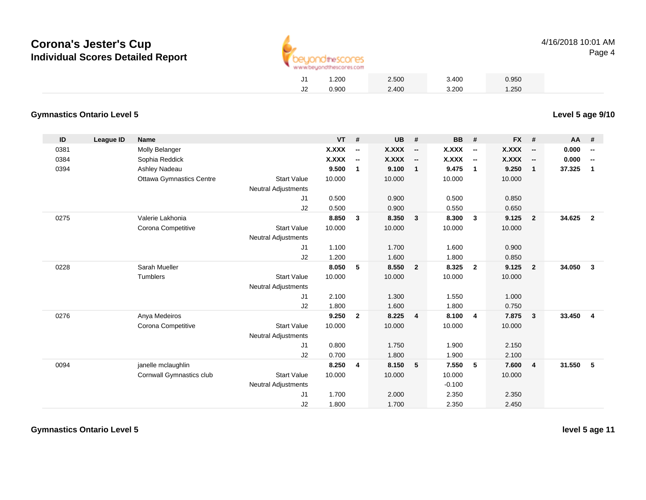

**Level 5 age 9/10**

|    | 1.200 | 2.500 | 3.400 | 0.950 |
|----|-------|-------|-------|-------|
| J2 | 0.900 | 2.400 | 3.200 | 1.250 |

#### **Gymnastics Ontario Level 5**

| ID   | <b>League ID</b> | Name                            |                            | VT           | #                        | <b>UB</b> | #                        | BB       | #                        | <b>FX</b>    | #                        | AA     | - #                      |
|------|------------------|---------------------------------|----------------------------|--------------|--------------------------|-----------|--------------------------|----------|--------------------------|--------------|--------------------------|--------|--------------------------|
| 0381 |                  | Molly Belanger                  |                            | <b>X.XXX</b> | $\overline{\phantom{a}}$ | X.XXX     | $\overline{\phantom{a}}$ | X.XXX    | $\overline{\phantom{a}}$ | X.XXX        | $\overline{\phantom{a}}$ | 0.000  | $\overline{\phantom{a}}$ |
| 0384 |                  | Sophia Reddick                  |                            | X.XXX        | $\overline{\phantom{a}}$ | X.XXX     | $\overline{\phantom{a}}$ | X.XXX    | $\overline{\phantom{a}}$ | <b>X.XXX</b> | $\overline{\phantom{a}}$ | 0.000  | $\overline{\phantom{a}}$ |
| 0394 |                  | Ashley Nadeau                   |                            | 9.500        | $\overline{1}$           | 9.100     | $\overline{1}$           | 9.475    | $\mathbf{1}$             | 9.250        | $\mathbf{1}$             | 37.325 | $\mathbf 1$              |
|      |                  | <b>Ottawa Gymnastics Centre</b> | <b>Start Value</b>         | 10.000       |                          | 10.000    |                          | 10.000   |                          | 10.000       |                          |        |                          |
|      |                  |                                 | <b>Neutral Adjustments</b> |              |                          |           |                          |          |                          |              |                          |        |                          |
|      |                  |                                 | J1                         | 0.500        |                          | 0.900     |                          | 0.500    |                          | 0.850        |                          |        |                          |
|      |                  |                                 | J <sub>2</sub>             | 0.500        |                          | 0.900     |                          | 0.550    |                          | 0.650        |                          |        |                          |
| 0275 |                  | Valerie Lakhonia                |                            | 8.850        | $\mathbf{3}$             | 8.350     | - 3                      | 8.300    | 3                        | 9.125        | $\overline{2}$           | 34.625 | $\overline{2}$           |
|      |                  | Corona Competitive              | <b>Start Value</b>         | 10.000       |                          | 10.000    |                          | 10.000   |                          | 10.000       |                          |        |                          |
|      |                  |                                 | <b>Neutral Adjustments</b> |              |                          |           |                          |          |                          |              |                          |        |                          |
|      |                  |                                 | J1                         | 1.100        |                          | 1.700     |                          | 1.600    |                          | 0.900        |                          |        |                          |
|      |                  |                                 | J2                         | 1.200        |                          | 1.600     |                          | 1.800    |                          | 0.850        |                          |        |                          |
| 0228 |                  | Sarah Mueller                   |                            | 8.050        | 5                        | 8.550     | $\overline{2}$           | 8.325    | $\overline{2}$           | 9.125        | $\overline{2}$           | 34.050 | $\mathbf{3}$             |
|      |                  | <b>Tumblers</b>                 | <b>Start Value</b>         | 10.000       |                          | 10.000    |                          | 10.000   |                          | 10.000       |                          |        |                          |
|      |                  |                                 | <b>Neutral Adjustments</b> |              |                          |           |                          |          |                          |              |                          |        |                          |
|      |                  |                                 | J <sub>1</sub>             | 2.100        |                          | 1.300     |                          | 1.550    |                          | 1.000        |                          |        |                          |
|      |                  |                                 | J2                         | 1.800        |                          | 1.600     |                          | 1.800    |                          | 0.750        |                          |        |                          |
| 0276 |                  | Anya Medeiros                   |                            | 9.250        | $\overline{\mathbf{2}}$  | 8.225     | $\overline{4}$           | 8.100    | 4                        | 7.875        | $\mathbf{3}$             | 33.450 | $\overline{4}$           |
|      |                  | Corona Competitive              | <b>Start Value</b>         | 10.000       |                          | 10.000    |                          | 10.000   |                          | 10.000       |                          |        |                          |
|      |                  |                                 | <b>Neutral Adjustments</b> |              |                          |           |                          |          |                          |              |                          |        |                          |
|      |                  |                                 | J <sub>1</sub>             | 0.800        |                          | 1.750     |                          | 1.900    |                          | 2.150        |                          |        |                          |
|      |                  |                                 | J2                         | 0.700        |                          | 1.800     |                          | 1.900    |                          | 2.100        |                          |        |                          |
| 0094 |                  | janelle mclaughlin              |                            | 8.250        | $\overline{4}$           | 8.150     | 5                        | 7.550    | 5                        | 7.600        | $\overline{4}$           | 31.550 | 5                        |
|      |                  | Cornwall Gymnastics club        | <b>Start Value</b>         | 10.000       |                          | 10.000    |                          | 10.000   |                          | 10.000       |                          |        |                          |
|      |                  |                                 | <b>Neutral Adjustments</b> |              |                          |           |                          | $-0.100$ |                          |              |                          |        |                          |
|      |                  |                                 | J <sub>1</sub>             | 1.700        |                          | 2.000     |                          | 2.350    |                          | 2.350        |                          |        |                          |
|      |                  |                                 | J2                         | 1.800        |                          | 1.700     |                          | 2.350    |                          | 2.450        |                          |        |                          |

**Gymnastics Ontario Level 5**

**level 5 age 11**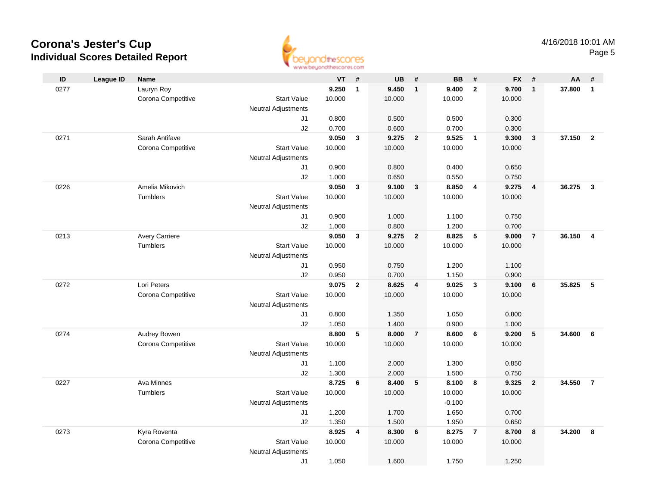

| ID   | <b>League ID</b> | Name                  |                                  | VT     | #              | <b>UB</b>       | #                       | <b>BB</b>       | #              | <b>FX</b> | #                       | AA     | #                       |
|------|------------------|-----------------------|----------------------------------|--------|----------------|-----------------|-------------------------|-----------------|----------------|-----------|-------------------------|--------|-------------------------|
| 0277 |                  | Lauryn Roy            |                                  | 9.250  | $\mathbf{1}$   | 9.450           | $\mathbf{1}$            | 9.400           | $\overline{2}$ | 9.700     | $\overline{1}$          | 37.800 | $\mathbf{1}$            |
|      |                  | Corona Competitive    | <b>Start Value</b>               | 10.000 |                | 10.000          |                         | 10.000          |                | 10.000    |                         |        |                         |
|      |                  |                       | <b>Neutral Adjustments</b>       |        |                |                 |                         |                 |                |           |                         |        |                         |
|      |                  |                       | J1                               | 0.800  |                | 0.500           |                         | 0.500           |                | 0.300     |                         |        |                         |
|      |                  |                       | J2                               | 0.700  |                | 0.600           |                         | 0.700           |                | 0.300     |                         |        |                         |
| 0271 |                  | Sarah Antifave        |                                  | 9.050  | $\mathbf{3}$   | 9.275           | $\overline{\mathbf{2}}$ | 9.525           | $\overline{1}$ | 9.300     | $\overline{\mathbf{3}}$ | 37.150 | $\overline{2}$          |
|      |                  | Corona Competitive    | <b>Start Value</b>               | 10.000 |                | 10.000          |                         | 10.000          |                | 10.000    |                         |        |                         |
|      |                  |                       | <b>Neutral Adjustments</b>       |        |                |                 |                         |                 |                |           |                         |        |                         |
|      |                  |                       | J <sub>1</sub>                   | 0.900  |                | 0.800           |                         | 0.400           |                | 0.650     |                         |        |                         |
|      |                  |                       | J2                               | 1.000  |                | 0.650           |                         | 0.550           |                | 0.750     |                         |        |                         |
| 0226 |                  | Amelia Mikovich       |                                  | 9.050  | $\mathbf{3}$   | 9.100           | 3                       | 8.850           | 4              | 9.275     | 4                       | 36.275 | $\overline{\mathbf{3}}$ |
|      |                  | <b>Tumblers</b>       | <b>Start Value</b>               | 10.000 |                | 10.000          |                         | 10.000          |                | 10.000    |                         |        |                         |
|      |                  |                       | Neutral Adjustments              |        |                |                 |                         |                 |                |           |                         |        |                         |
|      |                  |                       | J1                               | 0.900  |                | 1.000           |                         | 1.100           |                | 0.750     |                         |        |                         |
|      |                  |                       | J2                               | 1.000  |                | 0.800           |                         | 1.200           |                | 0.700     |                         |        |                         |
| 0213 |                  | <b>Avery Carriere</b> |                                  | 9.050  | $\mathbf{3}$   | 9.275<br>10.000 | $\overline{2}$          | 8.825<br>10.000 | 5              | 9.000     | $\overline{7}$          | 36.150 | $\overline{4}$          |
|      |                  | Tumblers              | <b>Start Value</b>               | 10.000 |                |                 |                         |                 |                | 10.000    |                         |        |                         |
|      |                  |                       | <b>Neutral Adjustments</b><br>J1 | 0.950  |                | 0.750           |                         | 1.200           |                | 1.100     |                         |        |                         |
|      |                  |                       | J2                               | 0.950  |                | 0.700           |                         | 1.150           |                | 0.900     |                         |        |                         |
| 0272 |                  | Lori Peters           |                                  | 9.075  | $\overline{2}$ | 8.625           | $\overline{\mathbf{4}}$ | 9.025           | $\mathbf{3}$   | 9.100     | $6\phantom{1}6$         | 35.825 | -5                      |
|      |                  | Corona Competitive    | <b>Start Value</b>               | 10.000 |                | 10.000          |                         | 10.000          |                | 10.000    |                         |        |                         |
|      |                  |                       | Neutral Adjustments              |        |                |                 |                         |                 |                |           |                         |        |                         |
|      |                  |                       | J1                               | 0.800  |                | 1.350           |                         | 1.050           |                | 0.800     |                         |        |                         |
|      |                  |                       | J2                               | 1.050  |                | 1.400           |                         | 0.900           |                | 1.000     |                         |        |                         |
| 0274 |                  | Audrey Bowen          |                                  | 8.800  | 5              | 8.000           | $\overline{7}$          | 8.600           | 6              | 9.200     | 5                       | 34.600 | 6                       |
|      |                  | Corona Competitive    | <b>Start Value</b>               | 10.000 |                | 10.000          |                         | 10.000          |                | 10.000    |                         |        |                         |
|      |                  |                       | <b>Neutral Adjustments</b>       |        |                |                 |                         |                 |                |           |                         |        |                         |
|      |                  |                       | J1                               | 1.100  |                | 2.000           |                         | 1.300           |                | 0.850     |                         |        |                         |
|      |                  |                       | J2                               | 1.300  |                | 2.000           |                         | 1.500           |                | 0.750     |                         |        |                         |
| 0227 |                  | Ava Minnes            |                                  | 8.725  | 6              | 8.400           | 5                       | 8.100           | 8              | 9.325     | $\overline{\mathbf{2}}$ | 34.550 | $\overline{7}$          |
|      |                  | Tumblers              | <b>Start Value</b>               | 10.000 |                | 10.000          |                         | 10.000          |                | 10.000    |                         |        |                         |
|      |                  |                       | <b>Neutral Adjustments</b>       |        |                |                 |                         | $-0.100$        |                |           |                         |        |                         |
|      |                  |                       | J1                               | 1.200  |                | 1.700           |                         | 1.650           |                | 0.700     |                         |        |                         |
|      |                  |                       | J2                               | 1.350  |                | 1.500           |                         | 1.950           |                | 0.650     |                         |        |                         |
| 0273 |                  | Kyra Roventa          |                                  | 8.925  | 4              | 8.300           | 6                       | 8.275           | $\overline{7}$ | 8.700     | 8                       | 34.200 | 8                       |
|      |                  | Corona Competitive    | <b>Start Value</b>               | 10.000 |                | 10.000          |                         | 10.000          |                | 10.000    |                         |        |                         |
|      |                  |                       | <b>Neutral Adjustments</b>       |        |                |                 |                         |                 |                |           |                         |        |                         |
|      |                  |                       | J1                               | 1.050  |                | 1.600           |                         | 1.750           |                | 1.250     |                         |        |                         |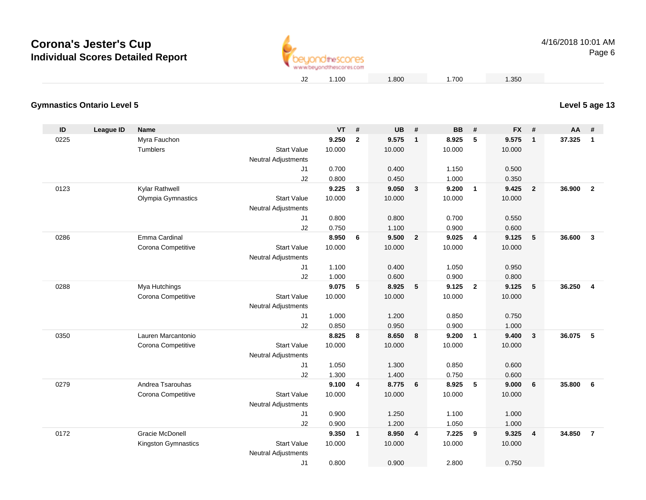

## **Level 5 age 13**

| <b>Gymnastics Ontario Level 5</b> |  |
|-----------------------------------|--|
|                                   |  |

| ID   | League ID | <b>Name</b>            |                                                  | <b>VT</b> | #              | <b>UB</b> | #                       | <b>BB</b> | #              | <b>FX</b> | #              | AA     | #                       |
|------|-----------|------------------------|--------------------------------------------------|-----------|----------------|-----------|-------------------------|-----------|----------------|-----------|----------------|--------|-------------------------|
| 0225 |           | Myra Fauchon           |                                                  | 9.250     | $\overline{2}$ | 9.575     | $\overline{1}$          | 8.925     | 5              | 9.575     | $\mathbf{1}$   | 37.325 | $\mathbf{1}$            |
|      |           | Tumblers               | <b>Start Value</b>                               | 10.000    |                | 10.000    |                         | 10.000    |                | 10.000    |                |        |                         |
|      |           |                        | Neutral Adjustments                              |           |                |           |                         |           |                |           |                |        |                         |
|      |           |                        | J <sub>1</sub>                                   | 0.700     |                | 0.400     |                         | 1.150     |                | 0.500     |                |        |                         |
|      |           |                        | J2                                               | 0.800     |                | 0.450     |                         | 1.000     |                | 0.350     |                |        |                         |
| 0123 |           | Kylar Rathwell         |                                                  | 9.225     | 3              | 9.050     | $\mathbf{3}$            | 9.200     | $\overline{1}$ | 9.425     | $\overline{2}$ | 36.900 | $\overline{\mathbf{2}}$ |
|      |           | Olympia Gymnastics     | <b>Start Value</b>                               | 10.000    |                | 10.000    |                         | 10.000    |                | 10.000    |                |        |                         |
|      |           |                        | Neutral Adjustments                              |           |                |           |                         |           |                |           |                |        |                         |
|      |           |                        | J1                                               | 0.800     |                | 0.800     |                         | 0.700     |                | 0.550     |                |        |                         |
|      |           |                        | J2                                               | 0.750     |                | 1.100     |                         | 0.900     |                | 0.600     |                |        |                         |
| 0286 |           | Emma Cardinal          |                                                  | 8.950     | 6              | 9.500     | $\overline{\mathbf{2}}$ | 9.025     | $\overline{4}$ | 9.125     | 5              | 36.600 | $\overline{3}$          |
|      |           | Corona Competitive     | <b>Start Value</b>                               | 10.000    |                | 10.000    |                         | 10.000    |                | 10.000    |                |        |                         |
|      |           |                        | Neutral Adjustments                              |           |                |           |                         |           |                |           |                |        |                         |
|      |           |                        | J1                                               | 1.100     |                | 0.400     |                         | 1.050     |                | 0.950     |                |        |                         |
|      |           |                        | J2                                               | 1.000     |                | 0.600     |                         | 0.900     |                | 0.800     |                |        |                         |
| 0288 |           | Mya Hutchings          |                                                  | 9.075     | 5              | 8.925     | 5                       | 9.125     | $\overline{2}$ | 9.125     | 5              | 36.250 | $\overline{\mathbf{4}}$ |
|      |           | Corona Competitive     | <b>Start Value</b>                               | 10.000    |                | 10.000    |                         | 10.000    |                | 10.000    |                |        |                         |
|      |           |                        | <b>Neutral Adjustments</b>                       |           |                |           |                         |           |                |           |                |        |                         |
|      |           |                        | J <sub>1</sub>                                   | 1.000     |                | 1.200     |                         | 0.850     |                | 0.750     |                |        |                         |
|      |           |                        | J2                                               | 0.850     |                | 0.950     |                         | 0.900     |                | 1.000     |                |        |                         |
| 0350 |           | Lauren Marcantonio     |                                                  | 8.825     | 8              | 8.650     | 8                       | 9.200     | $\overline{1}$ | 9.400     | 3              | 36.075 | 5                       |
|      |           | Corona Competitive     | <b>Start Value</b><br><b>Neutral Adjustments</b> | 10.000    |                | 10.000    |                         | 10.000    |                | 10.000    |                |        |                         |
|      |           |                        | J1                                               | 1.050     |                | 1.300     |                         | 0.850     |                | 0.600     |                |        |                         |
|      |           |                        | J2                                               | 1.300     |                | 1.400     |                         | 0.750     |                | 0.600     |                |        |                         |
| 0279 |           | Andrea Tsarouhas       |                                                  | 9.100     | 4              | 8.775     | 6                       | 8.925     | 5              | 9.000     | 6              | 35.800 | 6                       |
|      |           | Corona Competitive     | <b>Start Value</b>                               | 10.000    |                | 10.000    |                         | 10.000    |                | 10.000    |                |        |                         |
|      |           |                        | <b>Neutral Adjustments</b>                       |           |                |           |                         |           |                |           |                |        |                         |
|      |           |                        | J1                                               | 0.900     |                | 1.250     |                         | 1.100     |                | 1.000     |                |        |                         |
|      |           |                        | J2                                               | 0.900     |                | 1.200     |                         | 1.050     |                | 1.000     |                |        |                         |
| 0172 |           | <b>Gracie McDonell</b> |                                                  | 9.350     | $\mathbf{1}$   | 8.950     | $\overline{4}$          | 7.225     | 9              | 9.325     | 4              | 34.850 | $\overline{7}$          |
|      |           | Kingston Gymnastics    | <b>Start Value</b>                               | 10.000    |                | 10.000    |                         | 10.000    |                | 10.000    |                |        |                         |
|      |           |                        | <b>Neutral Adjustments</b>                       |           |                |           |                         |           |                |           |                |        |                         |
|      |           |                        | J <sub>1</sub>                                   | 0.800     |                | 0.900     |                         | 2.800     |                | 0.750     |                |        |                         |